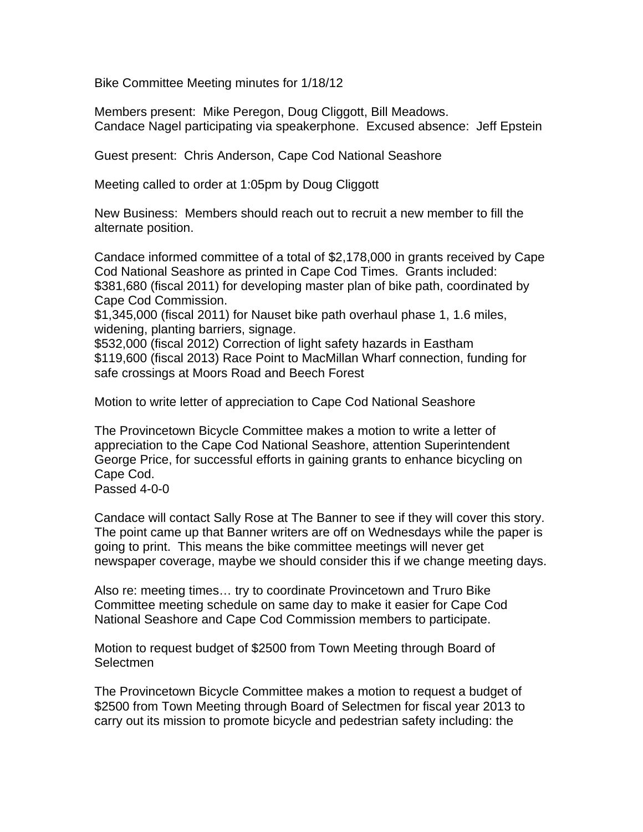Bike Committee Meeting minutes for 1/18/12

Members present: Mike Peregon, Doug Cliggott, Bill Meadows. Candace Nagel participating via speakerphone. Excused absence: Jeff Epstein

Guest present: Chris Anderson, Cape Cod National Seashore

Meeting called to order at 1:05pm by Doug Cliggott

New Business: Members should reach out to recruit a new member to fill the alternate position.

Candace informed committee of a total of \$2,178,000 in grants received by Cape Cod National Seashore as printed in Cape Cod Times. Grants included: \$381,680 (fiscal 2011) for developing master plan of bike path, coordinated by Cape Cod Commission.

\$1,345,000 (fiscal 2011) for Nauset bike path overhaul phase 1, 1.6 miles, widening, planting barriers, signage.

\$532,000 (fiscal 2012) Correction of light safety hazards in Eastham \$119,600 (fiscal 2013) Race Point to MacMillan Wharf connection, funding for safe crossings at Moors Road and Beech Forest

Motion to write letter of appreciation to Cape Cod National Seashore

The Provincetown Bicycle Committee makes a motion to write a letter of appreciation to the Cape Cod National Seashore, attention Superintendent George Price, for successful efforts in gaining grants to enhance bicycling on Cape Cod.

Passed 4-0-0

Candace will contact Sally Rose at The Banner to see if they will cover this story. The point came up that Banner writers are off on Wednesdays while the paper is going to print. This means the bike committee meetings will never get newspaper coverage, maybe we should consider this if we change meeting days.

Also re: meeting times… try to coordinate Provincetown and Truro Bike Committee meeting schedule on same day to make it easier for Cape Cod National Seashore and Cape Cod Commission members to participate.

Motion to request budget of \$2500 from Town Meeting through Board of **Selectmen** 

The Provincetown Bicycle Committee makes a motion to request a budget of \$2500 from Town Meeting through Board of Selectmen for fiscal year 2013 to carry out its mission to promote bicycle and pedestrian safety including: the